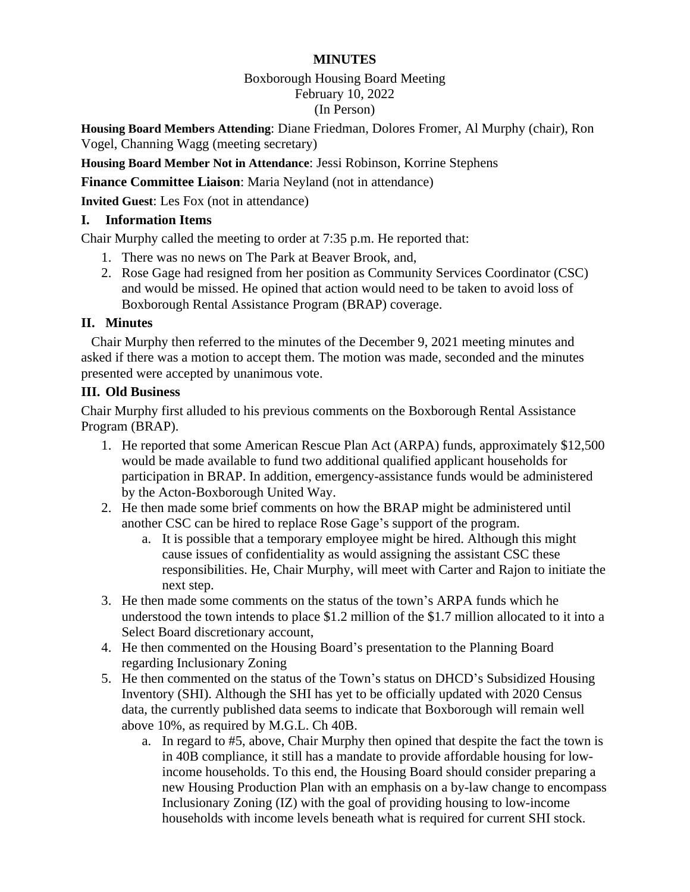## **MINUTES**

# Boxborough Housing Board Meeting

## February 10, 2022

## (In Person)

**Housing Board Members Attending**: Diane Friedman, Dolores Fromer, Al Murphy (chair), Ron Vogel, Channing Wagg (meeting secretary)

**Housing Board Member Not in Attendance**: Jessi Robinson, Korrine Stephens

**Finance Committee Liaison**: Maria Neyland (not in attendance)

**Invited Guest**: Les Fox (not in attendance)

#### **I. Information Items**

Chair Murphy called the meeting to order at 7:35 p.m. He reported that:

- 1. There was no news on The Park at Beaver Brook, and,
- 2. Rose Gage had resigned from her position as Community Services Coordinator (CSC) and would be missed. He opined that action would need to be taken to avoid loss of Boxborough Rental Assistance Program (BRAP) coverage.

#### **II. Minutes**

 Chair Murphy then referred to the minutes of the December 9, 2021 meeting minutes and asked if there was a motion to accept them. The motion was made, seconded and the minutes presented were accepted by unanimous vote.

#### **III. Old Business**

Chair Murphy first alluded to his previous comments on the Boxborough Rental Assistance Program (BRAP).

- 1. He reported that some American Rescue Plan Act (ARPA) funds, approximately \$12,500 would be made available to fund two additional qualified applicant households for participation in BRAP. In addition, emergency-assistance funds would be administered by the Acton-Boxborough United Way.
- 2. He then made some brief comments on how the BRAP might be administered until another CSC can be hired to replace Rose Gage's support of the program.
	- a. It is possible that a temporary employee might be hired. Although this might cause issues of confidentiality as would assigning the assistant CSC these responsibilities. He, Chair Murphy, will meet with Carter and Rajon to initiate the next step.
- 3. He then made some comments on the status of the town's ARPA funds which he understood the town intends to place \$1.2 million of the \$1.7 million allocated to it into a Select Board discretionary account,
- 4. He then commented on the Housing Board's presentation to the Planning Board regarding Inclusionary Zoning
- 5. He then commented on the status of the Town's status on DHCD's Subsidized Housing Inventory (SHI). Although the SHI has yet to be officially updated with 2020 Census data, the currently published data seems to indicate that Boxborough will remain well above 10%, as required by M.G.L. Ch 40B.
	- a. In regard to #5, above, Chair Murphy then opined that despite the fact the town is in 40B compliance, it still has a mandate to provide affordable housing for lowincome households. To this end, the Housing Board should consider preparing a new Housing Production Plan with an emphasis on a by-law change to encompass Inclusionary Zoning (IZ) with the goal of providing housing to low-income households with income levels beneath what is required for current SHI stock.